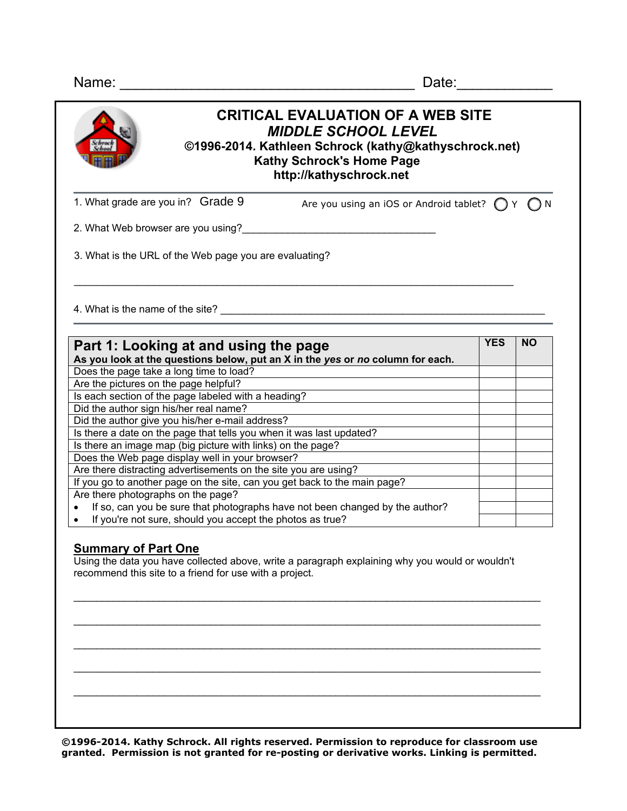| <b>CRITICAL EVALUATION OF A WEB SITE</b><br><b>MIDDLE SCHOOL LEVEL</b><br>©1996-2014. Kathleen Schrock (kathy@kathyschrock.net)<br><b>Kathy Schrock's Home Page</b><br>http://kathyschrock.net                                                                                                                                                                                                                                                                                                                                                                                                                                                                                                                                                  |            |           |
|-------------------------------------------------------------------------------------------------------------------------------------------------------------------------------------------------------------------------------------------------------------------------------------------------------------------------------------------------------------------------------------------------------------------------------------------------------------------------------------------------------------------------------------------------------------------------------------------------------------------------------------------------------------------------------------------------------------------------------------------------|------------|-----------|
| 1. What grade are you in? Grade 9<br>Are you using an iOS or Android tablet? $\bigcap Y$ $\bigcap N$                                                                                                                                                                                                                                                                                                                                                                                                                                                                                                                                                                                                                                            |            |           |
| 2. What Web browser are you using?                                                                                                                                                                                                                                                                                                                                                                                                                                                                                                                                                                                                                                                                                                              |            |           |
| 3. What is the URL of the Web page you are evaluating?                                                                                                                                                                                                                                                                                                                                                                                                                                                                                                                                                                                                                                                                                          |            |           |
| 4. What is the name of the site? The same of the site of the site of the site of the site of the site of the site of the site of the site of the site of the site of the site of the site of the site of the site of the site                                                                                                                                                                                                                                                                                                                                                                                                                                                                                                                   |            |           |
|                                                                                                                                                                                                                                                                                                                                                                                                                                                                                                                                                                                                                                                                                                                                                 | <b>YES</b> | <b>NO</b> |
|                                                                                                                                                                                                                                                                                                                                                                                                                                                                                                                                                                                                                                                                                                                                                 |            |           |
|                                                                                                                                                                                                                                                                                                                                                                                                                                                                                                                                                                                                                                                                                                                                                 |            |           |
|                                                                                                                                                                                                                                                                                                                                                                                                                                                                                                                                                                                                                                                                                                                                                 |            |           |
|                                                                                                                                                                                                                                                                                                                                                                                                                                                                                                                                                                                                                                                                                                                                                 |            |           |
|                                                                                                                                                                                                                                                                                                                                                                                                                                                                                                                                                                                                                                                                                                                                                 |            |           |
|                                                                                                                                                                                                                                                                                                                                                                                                                                                                                                                                                                                                                                                                                                                                                 |            |           |
|                                                                                                                                                                                                                                                                                                                                                                                                                                                                                                                                                                                                                                                                                                                                                 |            |           |
|                                                                                                                                                                                                                                                                                                                                                                                                                                                                                                                                                                                                                                                                                                                                                 |            |           |
|                                                                                                                                                                                                                                                                                                                                                                                                                                                                                                                                                                                                                                                                                                                                                 |            |           |
| Part 1: Looking at and using the page<br>As you look at the questions below, put an X in the yes or no column for each.<br>Does the page take a long time to load?<br>Are the pictures on the page helpful?<br>Is each section of the page labeled with a heading?<br>Did the author sign his/her real name?<br>Did the author give you his/her e-mail address?<br>Is there a date on the page that tells you when it was last updated?<br>Is there an image map (big picture with links) on the page?<br>Does the Web page display well in your browser?<br>Are there distracting advertisements on the site you are using?<br>If you go to another page on the site, can you get back to the main page?<br>Are there photographs on the page? |            |           |

• If you're not sure, should you accept the photos as true?

## **Summary of Part One**

Using the data you have collected above, write a paragraph explaining why you would or wouldn't recommend this site to a friend for use with a project.

 $\mathcal{L}_\text{max}$  , and the contribution of the contribution of the contribution of the contribution of the contribution of the contribution of the contribution of the contribution of the contribution of the contribution of t

 $\mathcal{L}_\text{max}$  , and the contribution of the contribution of the contribution of the contribution of the contribution of the contribution of the contribution of the contribution of the contribution of the contribution of t

 $\mathcal{L}_\text{max}$  , and the contribution of the contribution of the contribution of the contribution of the contribution of the contribution of the contribution of the contribution of the contribution of the contribution of t

 $\mathcal{L}_\text{max}$  , and the contribution of the contribution of the contribution of the contribution of the contribution of the contribution of the contribution of the contribution of the contribution of the contribution of t

 $\mathcal{L}_\text{max}$  , and the contribution of the contribution of the contribution of the contribution of the contribution of the contribution of the contribution of the contribution of the contribution of the contribution of t

**©1996-2014. Kathy Schrock. All rights reserved. Permission to reproduce for classroom use granted. Permission is not granted for re-posting or derivative works. Linking is permitted.**